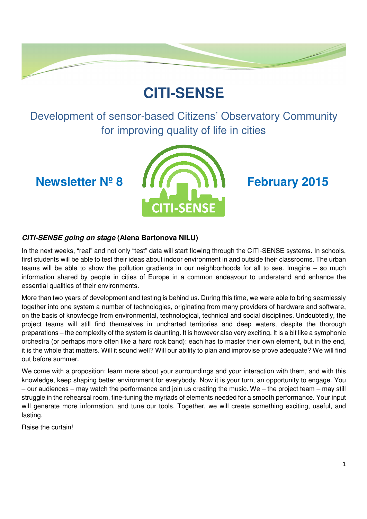# **CITI-SENSE**

Development of sensor-based Citizens' Observatory Community for improving quality of life in cities



# **CITI-SENSE going on stage (Alena Bartonova NILU)**

In the next weeks, "real" and not only "test" data will start flowing through the CITI-SENSE systems. In schools, first students will be able to test their ideas about indoor environment in and outside their classrooms. The urban teams will be able to show the pollution gradients in our neighborhoods for all to see. Imagine – so much information shared by people in cities of Europe in a common endeavour to understand and enhance the essential qualities of their environments.

More than two years of development and testing is behind us. During this time, we were able to bring seamlessly together into one system a number of technologies, originating from many providers of hardware and software, on the basis of knowledge from environmental, technological, technical and social disciplines. Undoubtedly, the project teams will still find themselves in uncharted territories and deep waters, despite the thorough preparations – the complexity of the system is daunting. It is however also very exciting. It is a bit like a symphonic orchestra (or perhaps more often like a hard rock band): each has to master their own element, but in the end, it is the whole that matters. Will it sound well? Will our ability to plan and improvise prove adequate? We will find out before summer.

We come with a proposition: learn more about your surroundings and your interaction with them, and with this knowledge, keep shaping better environment for everybody. Now it is your turn, an opportunity to engage. You – our audiences – may watch the performance and join us creating the music. We – the project team – may still struggle in the rehearsal room, fine-tuning the myriads of elements needed for a smooth performance. Your input will generate more information, and tune our tools. Together, we will create something exciting, useful, and lasting.

Raise the curtain!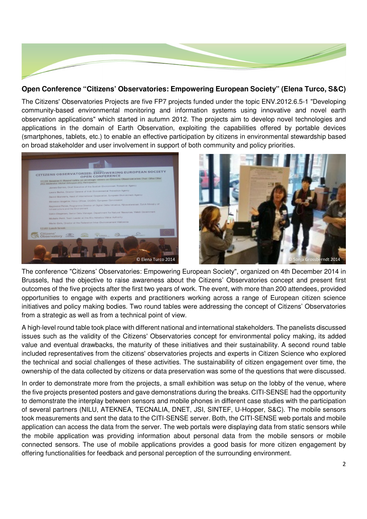

### **Open Conference "Citizens' Observatories: Empowering European Society" (Elena Turco, S&C)**

The Citizens' Observatories Projects are five FP7 projects funded under the topic ENV.2012.6.5-1 "Developing community-based environmental monitoring and information systems using innovative and novel earth observation applications" which started in autumn 2012. The projects aim to develop novel technologies and applications in the domain of Earth Observation, exploiting the capabilities offered by portable devices (smartphones, tablets, etc.) to enable an effective participation by citizens in environmental stewardship based on broad stakeholder and user involvement in support of both community and policy priorities.





The conference "Citizens' Observatories: Empowering European Society", organized on 4th December 2014 in Brussels, had the objective to raise awareness about the Citizens' Observatories concept and present first outcomes of the five projects after the first two years of work. The event, with more than 200 attendees, provided opportunities to engage with experts and practitioners working across a range of European citizen science initiatives and policy making bodies. Two round tables were addressing the concept of Citizens' Observatories from a strategic as well as from a technical point of view.

A high-level round table took place with different national and international stakeholders. The panelists discussed issues such as the validity of the Citizens' Observatories concept for environmental policy making, its added value and eventual drawbacks, the maturity of these initiatives and their sustainability. A second round table included representatives from the citizens' observatories projects and experts in Citizen Science who explored the technical and social challenges of these activities. The sustainability of citizen engagement over time, the ownership of the data collected by citizens or data preservation was some of the questions that were discussed.

In order to demonstrate more from the projects, a small exhibition was setup on the lobby of the venue, where the five projects presented posters and gave demonstrations during the breaks. CITI-SENSE had the opportunity to demonstrate the interplay between sensors and mobile phones in different case studies with the participation of several partners (NILU, ATEKNEA, TECNALIA, DNET, JSI, SINTEF, U-Hopper, S&C). The mobile sensors took measurements and sent the data to the CITI-SENSE server. Both, the CITI-SENSE web portals and mobile application can access the data from the server. The web portals were displaying data from static sensors while the mobile application was providing information about personal data from the mobile sensors or mobile connected sensors. The use of mobile applications provides a good basis for more citizen engagement by offering functionalities for feedback and personal perception of the surrounding environment.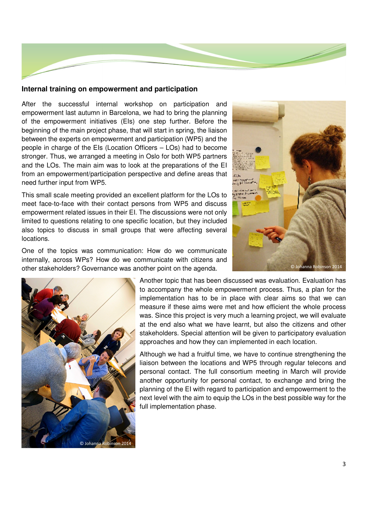

#### **Internal training on empowerment and participation**

After the successful internal workshop on participation and empowerment last autumn in Barcelona, we had to bring the planning of the empowerment initiatives (EIs) one step further. Before the beginning of the main project phase, that will start in spring, the liaison between the experts on empowerment and participation (WP5) and the people in charge of the EIs (Location Officers – LOs) had to become stronger. Thus, we arranged a meeting in Oslo for both WP5 partners and the LOs. The main aim was to look at the preparations of the EI from an empowerment/participation perspective and define areas that need further input from WP5.

This small scale meeting provided an excellent platform for the LOs to meet face-to-face with their contact persons from WP5 and discuss empowerment related issues in their EI. The discussions were not only limited to questions relating to one specific location, but they included also topics to discuss in small groups that were affecting several locations.

One of the topics was communication: How do we communicate internally, across WPs? How do we communicate with citizens and other stakeholders? Governance was another point on the agenda.





Another topic that has been discussed was evaluation. Evaluation has to accompany the whole empowerment process. Thus, a plan for the implementation has to be in place with clear aims so that we can measure if these aims were met and how efficient the whole process was. Since this project is very much a learning project, we will evaluate at the end also what we have learnt, but also the citizens and other stakeholders. Special attention will be given to participatory evaluation approaches and how they can implemented in each location.

Although we had a fruitful time, we have to continue strengthening the liaison between the locations and WP5 through regular telecons and personal contact. The full consortium meeting in March will provide another opportunity for personal contact, to exchange and bring the planning of the EI with regard to participation and empowerment to the next level with the aim to equip the LOs in the best possible way for the full implementation phase.